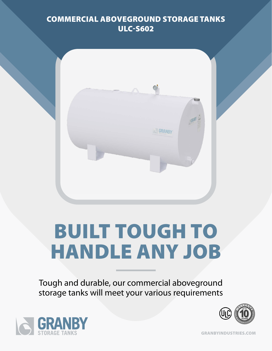## COMMERCIAL ABOVEGROUND STORAGE TANKS ULC-S602



# BUILT TOUGH TO HANDLE ANY JOB

Tough and durable, our commercial aboveground storage tanks will meet your various requirements





GRANBYINDUSTRIES.COM

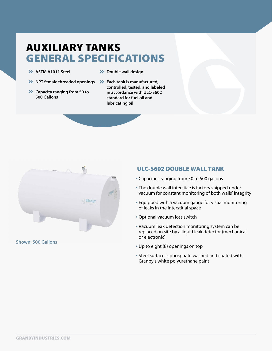# AUXILIARY TANKS GENERAL SPECIFICATIONS

- **>> ASTM A1011 Steel**
- $\rightarrow$  Double wall design
- **>>** NPT female threaded openings >>> Each tank is manufactured,
- $\blacktriangleright$  Capacity ranging from 50 to **500 Gallons**
- **controlled, tested, and labeled in accordance with ULC-S602 standard for fuel oil and lubricating oil**



**Shown: 500 Gallons**

#### ULC-S602 DOUBLE WALL TANK

- Capacities ranging from 50 to 500 gallons
- The double wall interstice is factory shipped under vacuum for constant monitoring of both walls' integrity
- Equipped with a vacuum gauge for visual monitoring of leaks in the interstitial space
- Optional vacuum loss switch
- Vacuum leak detection monitoring system can be replaced on site by a liquid leak detector (mechanical or electronic)
- Up to eight (8) openings on top
- Steel surface is phosphate washed and coated with Granby's white polyurethane paint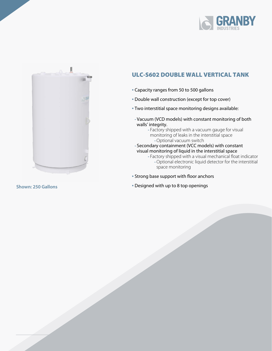



### ULC-S602 DOUBLE WALL VERTICAL TANK

- Capacity ranges from 50 to 500 gallons
- Double wall construction (except for top cover)
- Two interstitial space monitoring designs available:
	- **-** Vacuum (VCD models) with constant monitoring of both walls' integrity.
		- **-** Factory shipped with a vacuum gauge for visual monitoring of leaks in the interstitial space **-**Optional vacuum switch
	- **-** Secondary containment (VCC models) with constant visual monitoring of liquid in the interstitial space
		- **-** Factory shipped with a visual mechanical float indicator
			- **-**Optional electronic liquid detector for the interstitial space monitoring
- Strong base support with floor anchors
- Designed with up to 8 top openings **Shown: 250 Gallons**